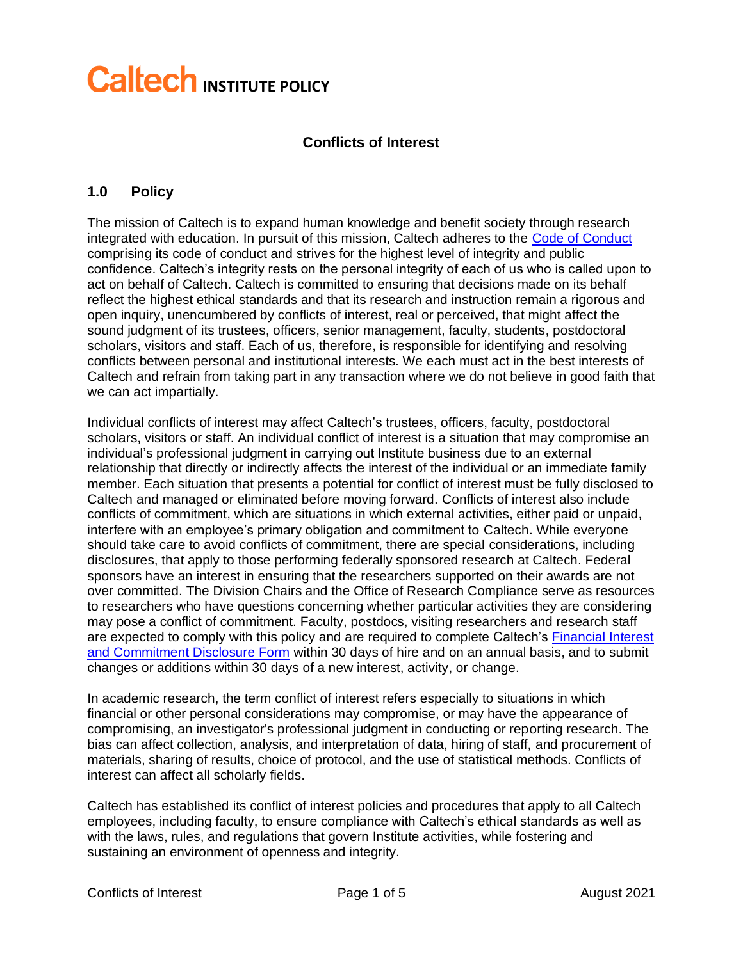# **Caltech INSTITUTE POLICY**

## **Conflicts of Interest**

#### **1.0 Policy**

The mission of Caltech is to expand human knowledge and benefit society through research integrated with education. In pursuit of this mission, Caltech adheres to the [Code of Conduct](https://asic.caltech.edu/code-conduct) comprising its code of conduct and strives for the highest level of integrity and public confidence. Caltech's integrity rests on the personal integrity of each of us who is called upon to act on behalf of Caltech. Caltech is committed to ensuring that decisions made on its behalf reflect the highest ethical standards and that its research and instruction remain a rigorous and open inquiry, unencumbered by conflicts of interest, real or perceived, that might affect the sound judgment of its trustees, officers, senior management, faculty, students, postdoctoral scholars, visitors and staff. Each of us, therefore, is responsible for identifying and resolving conflicts between personal and institutional interests. We each must act in the best interests of Caltech and refrain from taking part in any transaction where we do not believe in good faith that we can act impartially.

Individual conflicts of interest may affect Caltech's trustees, officers, faculty, postdoctoral scholars, visitors or staff. An individual conflict of interest is a situation that may compromise an individual's professional judgment in carrying out Institute business due to an external relationship that directly or indirectly affects the interest of the individual or an immediate family member. Each situation that presents a potential for conflict of interest must be fully disclosed to Caltech and managed or eliminated before moving forward. Conflicts of interest also include conflicts of commitment, which are situations in which external activities, either paid or unpaid, interfere with an employee's primary obligation and commitment to Caltech. While everyone should take care to avoid conflicts of commitment, there are special considerations, including disclosures, that apply to those performing federally sponsored research at Caltech. Federal sponsors have an interest in ensuring that the researchers supported on their awards are not over committed. The Division Chairs and the Office of Research Compliance serve as resources to researchers who have questions concerning whether particular activities they are considering may pose a conflict of commitment. Faculty, postdocs, visiting researchers and research staff are expected to comply with this policy and are required to complete Caltech's [Financial Interest](https://www.caltech.edu/campus-life-events/campus-announcements/2021-disclosure-of-financial-interests-and-commitment)  [and Commitment Disclosure Form](https://www.caltech.edu/campus-life-events/campus-announcements/2021-disclosure-of-financial-interests-and-commitment) within 30 days of hire and on an annual basis, and to submit changes or additions within 30 days of a new interest, activity, or change.

In academic research, the term conflict of interest refers especially to situations in which financial or other personal considerations may compromise, or may have the appearance of compromising, an investigator's professional judgment in conducting or reporting research. The bias can affect collection, analysis, and interpretation of data, hiring of staff, and procurement of materials, sharing of results, choice of protocol, and the use of statistical methods. Conflicts of interest can affect all scholarly fields.

Caltech has established its conflict of interest policies and procedures that apply to all Caltech employees, including faculty, to ensure compliance with Caltech's ethical standards as well as with the laws, rules, and regulations that govern Institute activities, while fostering and sustaining an environment of openness and integrity.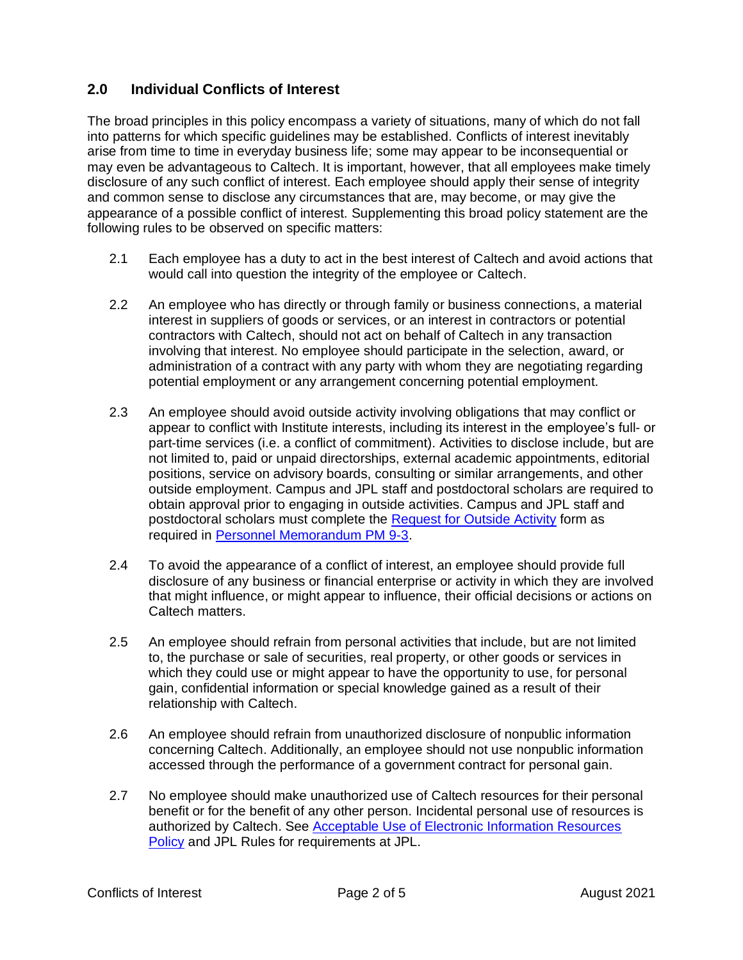## **2.0 Individual Conflicts of Interest**

The broad principles in this policy encompass a variety of situations, many of which do not fall into patterns for which specific guidelines may be established. Conflicts of interest inevitably arise from time to time in everyday business life; some may appear to be inconsequential or may even be advantageous to Caltech. It is important, however, that all employees make timely disclosure of any such conflict of interest. Each employee should apply their sense of integrity and common sense to disclose any circumstances that are, may become, or may give the appearance of a possible conflict of interest. Supplementing this broad policy statement are the following rules to be observed on specific matters:

- 2.1 Each employee has a duty to act in the best interest of Caltech and avoid actions that would call into question the integrity of the employee or Caltech.
- 2.2 An employee who has directly or through family or business connections, a material interest in suppliers of goods or services, or an interest in contractors or potential contractors with Caltech, should not act on behalf of Caltech in any transaction involving that interest. No employee should participate in the selection, award, or administration of a contract with any party with whom they are negotiating regarding potential employment or any arrangement concerning potential employment.
- 2.3 An employee should avoid outside activity involving obligations that may conflict or appear to conflict with Institute interests, including its interest in the employee's full- or part-time services (i.e. a conflict of commitment). Activities to disclose include, but are not limited to, paid or unpaid directorships, external academic appointments, editorial positions, service on advisory boards, consulting or similar arrangements, and other outside employment. Campus and JPL staff and postdoctoral scholars are required to obtain approval prior to engaging in outside activities. Campus and JPL staff and postdoctoral scholars must complete the Request [for Outside Activity](https://hr.caltech.edu/documents/2750/outside_activity_request_form_2019_fillable.pdf) form as required in [Personnel Memorandum PM 9-3.](https://www.hr.caltech.edu/documents/2921/pm_9-3.pdf)
- 2.4 To avoid the appearance of a conflict of interest, an employee should provide full disclosure of any business or financial enterprise or activity in which they are involved that might influence, or might appear to influence, their official decisions or actions on Caltech matters.
- 2.5 An employee should refrain from personal activities that include, but are not limited to, the purchase or sale of securities, real property, or other goods or services in which they could use or might appear to have the opportunity to use, for personal gain, confidential information or special knowledge gained as a result of their relationship with Caltech.
- 2.6 An employee should refrain from unauthorized disclosure of nonpublic information concerning Caltech. Additionally, an employee should not use nonpublic information accessed through the performance of a government contract for personal gain.
- 2.7 No employee should make unauthorized use of Caltech resources for their personal benefit or for the benefit of any other person. Incidental personal use of resources is authorized by Caltech. See [Acceptable Use of Electronic Information Resources](https://www.hr.caltech.edu/resources/institute-policies/acceptable-use-electronic-resources-policy) [Policy](https://www.hr.caltech.edu/resources/institute-policies/acceptable-use-electronic-resources-policy) and JPL Rules for requirements at JPL.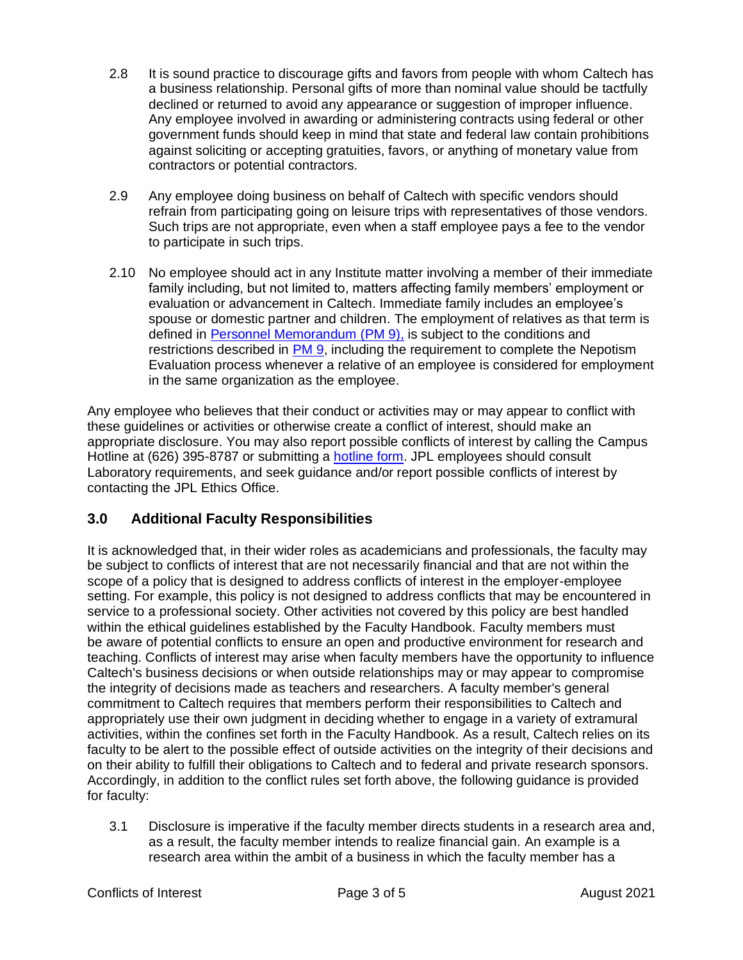- 2.8 It is sound practice to discourage gifts and favors from people with whom Caltech has a business relationship. Personal gifts of more than nominal value should be tactfully declined or returned to avoid any appearance or suggestion of improper influence. Any employee involved in awarding or administering contracts using federal or other government funds should keep in mind that state and federal law contain prohibitions against soliciting or accepting gratuities, favors, or anything of monetary value from contractors or potential contractors.
- 2.9 Any employee doing business on behalf of Caltech with specific vendors should refrain from participating going on leisure trips with representatives of those vendors. Such trips are not appropriate, even when a staff employee pays a fee to the vendor to participate in such trips.
- 2.10 No employee should act in any Institute matter involving a member of their immediate family including, but not limited to, matters affecting family members' employment or evaluation or advancement in Caltech. Immediate family includes an employee's spouse or domestic partner and children. The employment of relatives as that term is defined in [Personnel Memorandum \(PM 9\),](https://www.hr.caltech.edu/documents/2685/pm_09.pdf) is subject to the conditions and restrictions described in [PM 9,](https://www.hr.caltech.edu/documents/2685/pm_09.pdf) including the requirement to complete the Nepotism Evaluation process whenever a relative of an employee is considered for employment in the same organization as the employee.

Any employee who believes that their conduct or activities may or may appear to conflict with these guidelines or activities or otherwise create a conflict of interest, should make an appropriate disclosure. You may also report possible conflicts of interest by calling the Campus Hotline at (626) 395-8787 or submitting a [hotline form.](https://asic.caltech.edu/caltech-hotline/contact) JPL employees should consult Laboratory requirements, and seek guidance and/or report possible conflicts of interest by contacting the JPL Ethics Office.

# **3.0 Additional Faculty Responsibilities**

It is acknowledged that, in their wider roles as academicians and professionals, the faculty may be subject to conflicts of interest that are not necessarily financial and that are not within the scope of a policy that is designed to address conflicts of interest in the employer-employee setting. For example, this policy is not designed to address conflicts that may be encountered in service to a professional society. Other activities not covered by this policy are best handled within the ethical guidelines established by the Faculty Handbook. Faculty members must be aware of potential conflicts to ensure an open and productive environment for research and teaching. Conflicts of interest may arise when faculty members have the opportunity to influence Caltech's business decisions or when outside relationships may or may appear to compromise the integrity of decisions made as teachers and researchers. A faculty member's general commitment to Caltech requires that members perform their responsibilities to Caltech and appropriately use their own judgment in deciding whether to engage in a variety of extramural activities, within the confines set forth in the Faculty Handbook. As a result, Caltech relies on its faculty to be alert to the possible effect of outside activities on the integrity of their decisions and on their ability to fulfill their obligations to Caltech and to federal and private research sponsors. Accordingly, in addition to the conflict rules set forth above, the following guidance is provided for faculty:

3.1 Disclosure is imperative if the faculty member directs students in a research area and, as a result, the faculty member intends to realize financial gain. An example is a research area within the ambit of a business in which the faculty member has a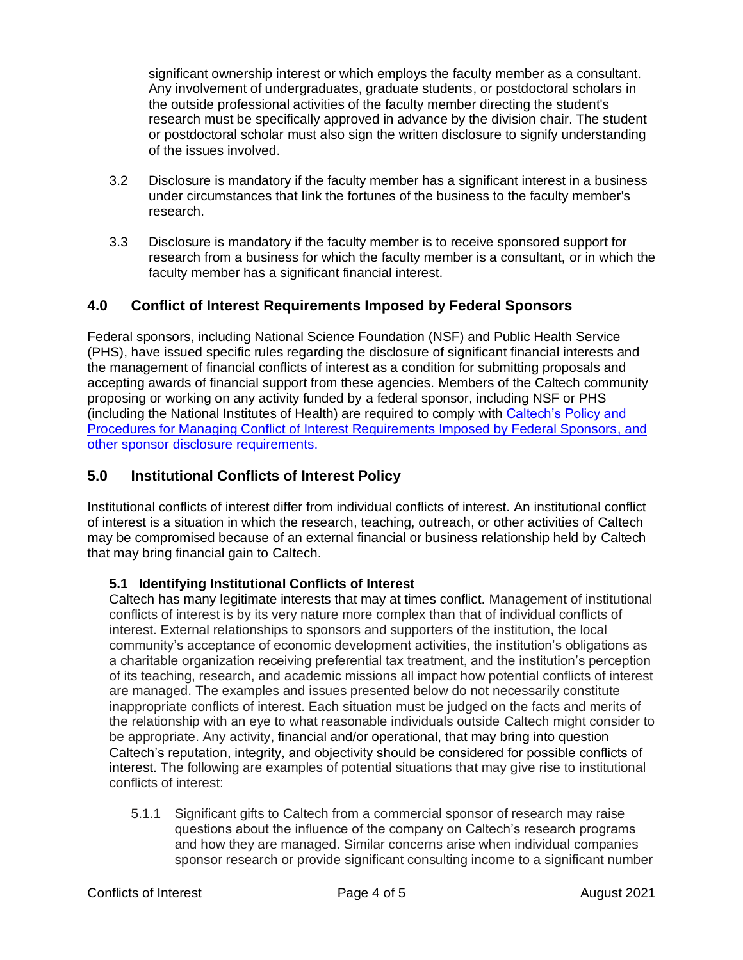significant ownership interest or which employs the faculty member as a consultant. Any involvement of undergraduates, graduate students, or postdoctoral scholars in the outside professional activities of the faculty member directing the student's research must be specifically approved in advance by the division chair. The student or postdoctoral scholar must also sign the written disclosure to signify understanding of the issues involved.

- 3.2 Disclosure is mandatory if the faculty member has a significant interest in a business under circumstances that link the fortunes of the business to the faculty member's research.
- 3.3 Disclosure is mandatory if the faculty member is to receive sponsored support for research from a business for which the faculty member is a consultant, or in which the faculty member has a significant financial interest.

## **4.0 Conflict of Interest Requirements Imposed by Federal Sponsors**

Federal sponsors, including National Science Foundation (NSF) and Public Health Service (PHS), have issued specific rules regarding the disclosure of significant financial interests and the management of financial conflicts of interest as a condition for submitting proposals and accepting awards of financial support from these agencies. Members of the Caltech community proposing or working on any activity funded by a federal sponsor, including NSF or PHS (including the National Institutes of Health) are required to comply with [Caltech's Policy and](https://researchcompliance.caltech.edu/documents/7348/fedawardcoi_pdf.pdf)  [Procedures for Managing Conflict of Interest Requirements Imposed by Federal Sponsors,](https://researchcompliance.caltech.edu/documents/7348/fedawardcoi_pdf.pdf) and [other sponsor disclosure requirements.](https://researchcompliance.caltech.edu/documents/7348/fedawardcoi_pdf.pdf)

## **5.0 Institutional Conflicts of Interest Policy**

Institutional conflicts of interest differ from individual conflicts of interest. An institutional conflict of interest is a situation in which the research, teaching, outreach, or other activities of Caltech may be compromised because of an external financial or business relationship held by Caltech that may bring financial gain to Caltech.

### **5.1 Identifying Institutional Conflicts of Interest**

Caltech has many legitimate interests that may at times conflict. Management of institutional conflicts of interest is by its very nature more complex than that of individual conflicts of interest. External relationships to sponsors and supporters of the institution, the local community's acceptance of economic development activities, the institution's obligations as a charitable organization receiving preferential tax treatment, and the institution's perception of its teaching, research, and academic missions all impact how potential conflicts of interest are managed. The examples and issues presented below do not necessarily constitute inappropriate conflicts of interest. Each situation must be judged on the facts and merits of the relationship with an eye to what reasonable individuals outside Caltech might consider to be appropriate. Any activity, financial and/or operational, that may bring into question Caltech's reputation, integrity, and objectivity should be considered for possible conflicts of interest. The following are examples of potential situations that may give rise to institutional conflicts of interest:

5.1.1 Significant gifts to Caltech from a commercial sponsor of research may raise questions about the influence of the company on Caltech's research programs and how they are managed. Similar concerns arise when individual companies sponsor research or provide significant consulting income to a significant number